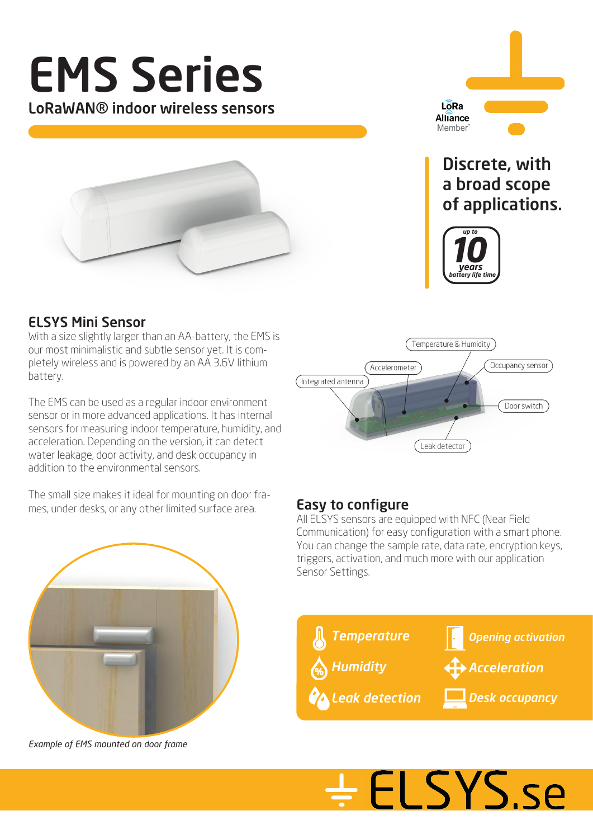

### $L\overline{\delta}$ Ra Alliance Member<sup>'</sup>

### Discrete, with a broad scope of applications.



#### ELSYS Mini Sensor

With a size slightly larger than an AA-battery, the EMS is our most minimalistic and subtle sensor yet. It is completely wireless and is powered by an AA 3.6V lithium battery.

The EMS can be used as a regular indoor environment sensor or in more advanced applications. It has internal sensors for measuring indoor temperature, humidity, and acceleration. Depending on the version, it can detect water leakage, door activity, and desk occupancy in addition to the environmental sensors.

The small size makes it ideal for mounting on door frames, under desks, or any other limited surface area. **Easy to configure** 





*Example of EMS mounted on door frame*

All ELSYS sensors are equipped with NFC (Near Field Communication) for easy configuration with a smart phone. You can change the sample rate, data rate, encryption keys, triggers, activation, and much more with our application Sensor Settings.